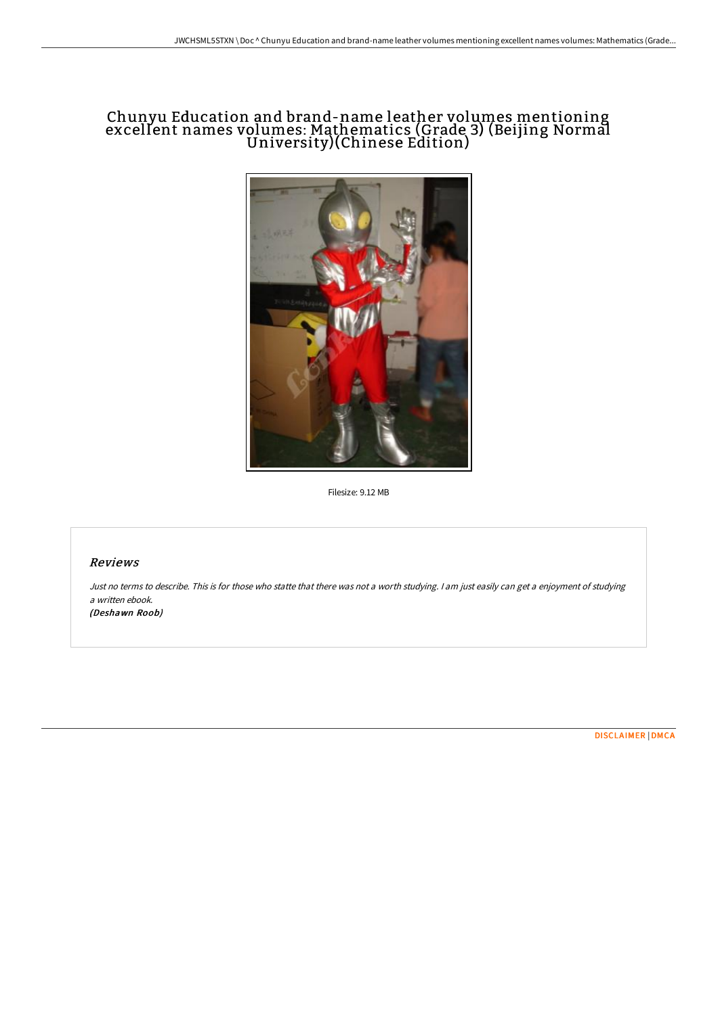## Chunyu Education and brand-name leather volumes mentioning excellent names volumes: Mathematics (Grade 3) (Beijing Normal University)(Chinese Edition)



Filesize: 9.12 MB

## Reviews

Just no terms to describe. This is for those who statte that there was not <sup>a</sup> worth studying. <sup>I</sup> am just easily can get <sup>a</sup> enjoyment of studying a written ebook.

(Deshawn Roob)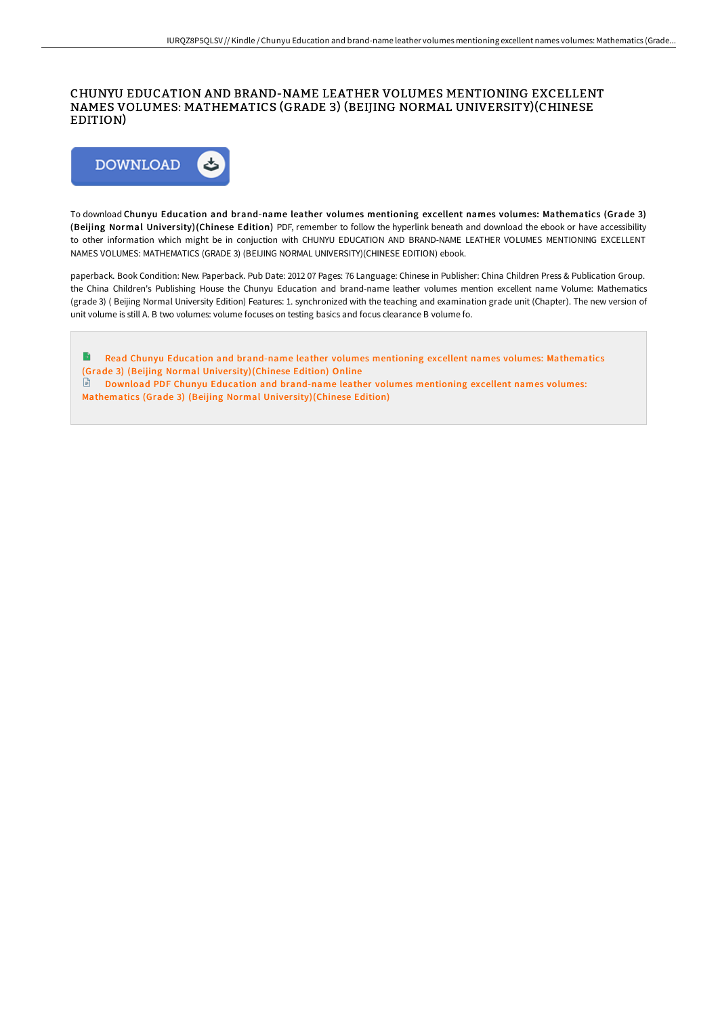## CHUNYU EDUCATION AND BRAND-NAME LEATHER VOLUMES MENTIONING EXCELLENT NAMES VOLUMES: MATHEMATICS (GRADE 3) (BEIJING NORMAL UNIVERSITY)(CHINESE EDITION)



To download Chunyu Education and brand-name leather volumes mentioning excellent names volumes: Mathematics (Grade 3) (Beijing Normal University)(Chinese Edition) PDF, remember to follow the hyperlink beneath and download the ebook or have accessibility to other information which might be in conjuction with CHUNYU EDUCATION AND BRAND-NAME LEATHER VOLUMES MENTIONING EXCELLENT NAMES VOLUMES: MATHEMATICS (GRADE 3) (BEIJING NORMAL UNIVERSITY)(CHINESE EDITION) ebook.

paperback. Book Condition: New. Paperback. Pub Date: 2012 07 Pages: 76 Language: Chinese in Publisher: China Children Press & Publication Group. the China Children's Publishing House the Chunyu Education and brand-name leather volumes mention excellent name Volume: Mathematics (grade 3) ( Beijing Normal University Edition) Features: 1. synchronized with the teaching and examination grade unit (Chapter). The new version of unit volume is still A. B two volumes: volume focuses on testing basics and focus clearance B volume fo.

 $\rightarrow$ Read Chunyu Education and brand-name leather volumes mentioning excellent names volumes: [Mathematics](http://techno-pub.tech/chunyu-education-and-brand-name-leather-volumes--1.html) (Grade 3) (Beijing Normal University)(Chinese Edition) Online Download PDF Chunyu Education and brand-name leather volumes mentioning excellent names volumes: Mathematics (Grade 3) (Beijing Normal Univer[sity\)\(Chinese](http://techno-pub.tech/chunyu-education-and-brand-name-leather-volumes--1.html) Edition)